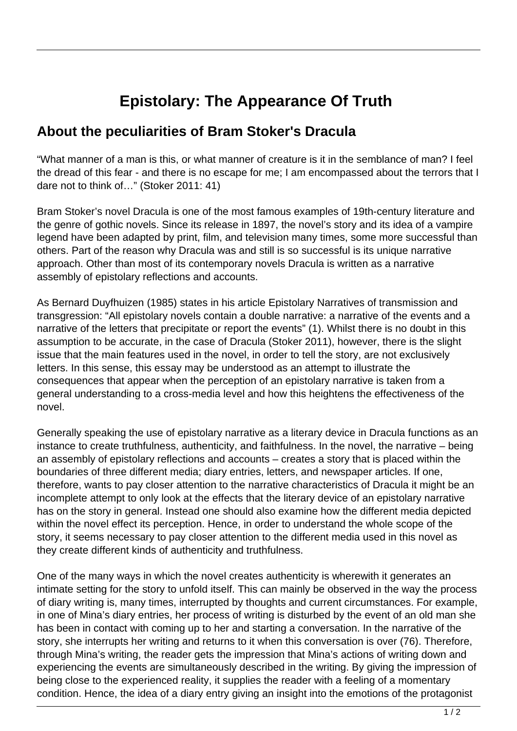## **Epistolary: The Appearance Of Truth**

## **About the peculiarities of Bram Stoker's Dracula**

"What manner of a man is this, or what manner of creature is it in the semblance of man? I feel the dread of this fear - and there is no escape for me; I am encompassed about the terrors that I dare not to think of…" (Stoker 2011: 41)

Bram Stoker's novel Dracula is one of the most famous examples of 19th-century literature and the genre of gothic novels. Since its release in 1897, the novel's story and its idea of a vampire legend have been adapted by print, film, and television many times, some more successful than others. Part of the reason why Dracula was and still is so successful is its unique narrative approach. Other than most of its contemporary novels Dracula is written as a narrative assembly of epistolary reflections and accounts.

As Bernard Duyfhuizen (1985) states in his article Epistolary Narratives of transmission and transgression: "All epistolary novels contain a double narrative: a narrative of the events and a narrative of the letters that precipitate or report the events" (1). Whilst there is no doubt in this assumption to be accurate, in the case of Dracula (Stoker 2011), however, there is the slight issue that the main features used in the novel, in order to tell the story, are not exclusively letters. In this sense, this essay may be understood as an attempt to illustrate the consequences that appear when the perception of an epistolary narrative is taken from a general understanding to a cross-media level and how this heightens the effectiveness of the novel.

Generally speaking the use of epistolary narrative as a literary device in Dracula functions as an instance to create truthfulness, authenticity, and faithfulness. In the novel, the narrative – being an assembly of epistolary reflections and accounts – creates a story that is placed within the boundaries of three different media; diary entries, letters, and newspaper articles. If one, therefore, wants to pay closer attention to the narrative characteristics of Dracula it might be an incomplete attempt to only look at the effects that the literary device of an epistolary narrative has on the story in general. Instead one should also examine how the different media depicted within the novel effect its perception. Hence, in order to understand the whole scope of the story, it seems necessary to pay closer attention to the different media used in this novel as they create different kinds of authenticity and truthfulness.

One of the many ways in which the novel creates authenticity is wherewith it generates an intimate setting for the story to unfold itself. This can mainly be observed in the way the process of diary writing is, many times, interrupted by thoughts and current circumstances. For example, in one of Mina's diary entries, her process of writing is disturbed by the event of an old man she has been in contact with coming up to her and starting a conversation. In the narrative of the story, she interrupts her writing and returns to it when this conversation is over (76). Therefore, through Mina's writing, the reader gets the impression that Mina's actions of writing down and experiencing the events are simultaneously described in the writing. By giving the impression of being close to the experienced reality, it supplies the reader with a feeling of a momentary condition. Hence, the idea of a diary entry giving an insight into the emotions of the protagonist